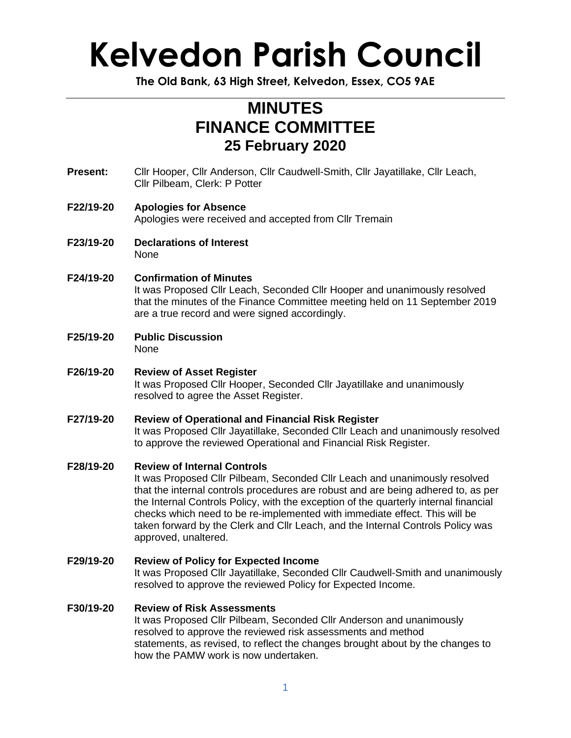## **Kelvedon Parish Council**

**The Old Bank, 63 High Street, Kelvedon, Essex, CO5 9AE**

### **MINUTES FINANCE COMMITTEE 25 February 2020**

- **Present:** Cllr Hooper, Cllr Anderson, Cllr Caudwell-Smith, Cllr Jayatillake, Cllr Leach, Cllr Pilbeam, Clerk: P Potter
- **F22/19-20 Apologies for Absence** Apologies were received and accepted from Cllr Tremain
- **F23/19-20 Declarations of Interest** None
- **F24/19-20 Confirmation of Minutes** It was Proposed Cllr Leach, Seconded Cllr Hooper and unanimously resolved that the minutes of the Finance Committee meeting held on 11 September 2019 are a true record and were signed accordingly.
- **F25/19-20 Public Discussion** None
- **F26/19-20 Review of Asset Register** It was Proposed Cllr Hooper, Seconded Cllr Jayatillake and unanimously resolved to agree the Asset Register.
- **F27/19-20 Review of Operational and Financial Risk Register** It was Proposed Cllr Jayatillake, Seconded Cllr Leach and unanimously resolved to approve the reviewed Operational and Financial Risk Register.
- **F28/19-20 Review of Internal Controls**

It was Proposed Cllr Pilbeam, Seconded Cllr Leach and unanimously resolved that the internal controls procedures are robust and are being adhered to, as per the Internal Controls Policy, with the exception of the quarterly internal financial checks which need to be re-implemented with immediate effect. This will be taken forward by the Clerk and Cllr Leach, and the Internal Controls Policy was approved, unaltered.

**F29/19-20 Review of Policy for Expected Income** It was Proposed Cllr Jayatillake, Seconded Cllr Caudwell-Smith and unanimously resolved to approve the reviewed Policy for Expected Income.

### **F30/19-20 Review of Risk Assessments**

It was Proposed Cllr Pilbeam, Seconded Cllr Anderson and unanimously resolved to approve the reviewed risk assessments and method statements, as revised, to reflect the changes brought about by the changes to how the PAMW work is now undertaken.